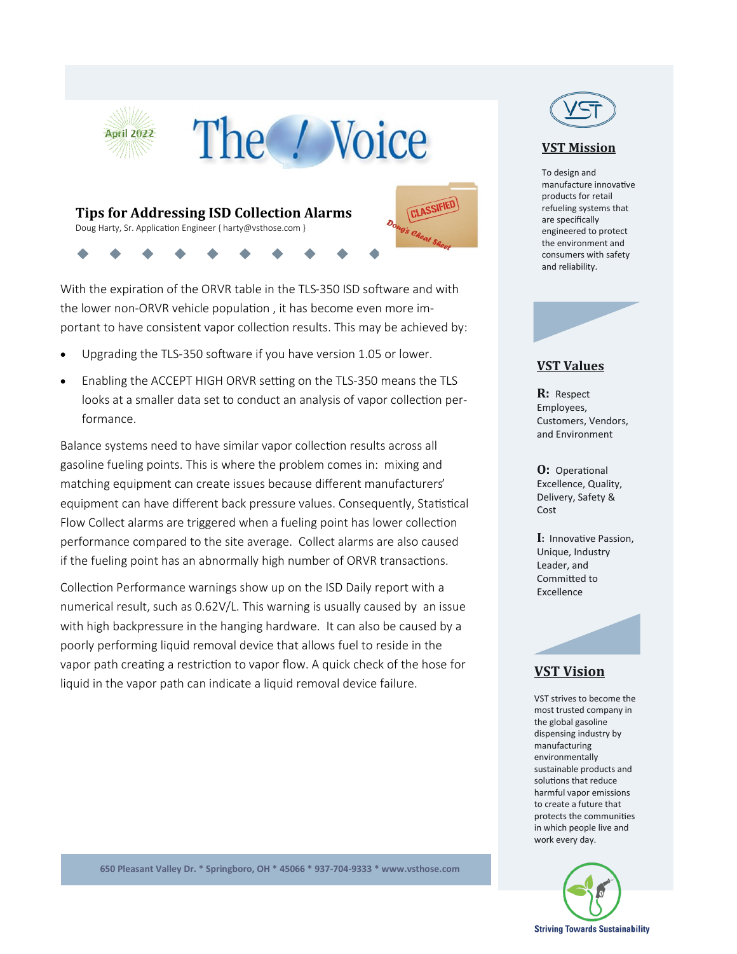

With the expiration of the ORVR table in the TLS-350 ISD software and with the lower non-ORVR vehicle population , it has become even more important to have consistent vapor collection results. This may be achieved by:

- Upgrading the TLS-350 software if you have version 1.05 or lower.
- Enabling the ACCEPT HIGH ORVR setting on the TLS-350 means the TLS looks at a smaller data set to conduct an analysis of vapor collection performance.

Balance systems need to have similar vapor collection results across all gasoline fueling points. This is where the problem comes in: mixing and matching equipment can create issues because different manufacturers' equipment can have different back pressure values. Consequently, Statistical Flow Collect alarms are triggered when a fueling point has lower collection performance compared to the site average. Collect alarms are also caused if the fueling point has an abnormally high number of ORVR transactions.

Collection Performance warnings show up on the ISD Daily report with a numerical result, such as 0.62V/L. This warning is usually caused by an issue with high backpressure in the hanging hardware. It can also be caused by a poorly performing liquid removal device that allows fuel to reside in the vapor path creating a restriction to vapor flow. A quick check of the hose for liquid in the vapor path can indicate a liquid removal device failure.



#### **VST Mission**

To design and manufacture innovative products for retail refueling systems that are specifically engineered to protect the environment and consumers with safety and reliability.



#### **VST Values**

**R:** Respect Employees, Customers, Vendors, and Environment

**O:** Operational Excellence, Quality, Delivery, Safety & Cost

**I:** Innovative Passion, Unique, Industry Leader, and Committed to Excellence

## **VST Vision**

VST strives to become the most trusted company in the global gasoline dispensing industry by manufacturing environmentally sustainable products and solutions that reduce harmful vapor emissions to create a future that protects the communities in which people live and work every day.



**650 Pleasant Valley Dr. \* Springboro, OH \* 45066 \* 937-704-9333 \* www.vsthose.com**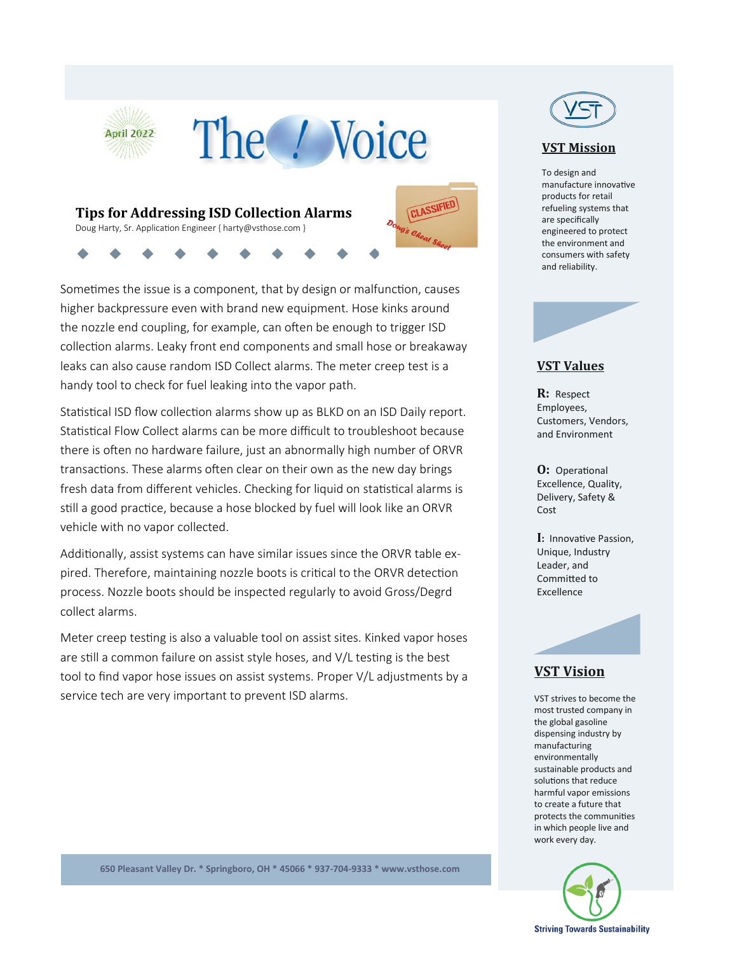

Sometimes the issue is a component, that by design or malfunction, causes higher backpressure even with brand new equipment. Hose kinks around the nozzle end coupling, for example, can often be enough to trigger ISD collection alarms. Leaky front end components and small hose or breakaway leaks can also cause random ISD Collect alarms. The meter creep test is a handy tool to check for fuel leaking into the vapor path.

Statistical ISD flow collection alarms show up as BLKD on an ISD Daily report. Statistical Flow Collect alarms can be more difficult to troubleshoot because there is often no hardware failure, just an abnormally high number of ORVR transactions. These alarms often clear on their own as the new day brings fresh data from different vehicles. Checking for liquid on statistical alarms is still a good practice, because a hose blocked by fuel will look like an ORVR vehicle with no vapor collected.

Additionally, assist systems can have similar issues since the ORVR table expired. Therefore, maintaining nozzle boots is critical to the ORVR detection process. Nozzle boots should be inspected regularly to avoid Gross/Degrd collect alarms.

Meter creep testing is also a valuable tool on assist sites. Kinked vapor hoses are still a common failure on assist style hoses, and V/L testing is the best tool to find vapor hose issues on assist systems. Proper V/L adjustments by a service tech are very important to prevent ISD alarms.



#### **VST Mission**

To design and manufacture innovative products for retail refueling systems that are specifically engineered to protect the environment and consumers with safety and reliability.



#### **VST Values**

**R:** Respect Employees, Customers, Vendors, and Environment

**O:** Operational Excellence, Quality, Delivery, Safety & Cost

**I:** Innovative Passion, Unique, Industry Leader, and Committed to Excellence

## **VST Vision**

VST strives to become the most trusted company in the global gasoline dispensing industry by manufacturing environmentally sustainable products and solutions that reduce harmful vapor emissions to create a future that protects the communities in which people live and work every day.



**650 Pleasant Valley Dr. \* Springboro, OH \* 45066 \* 937-704-9333 \* www.vsthose.com**